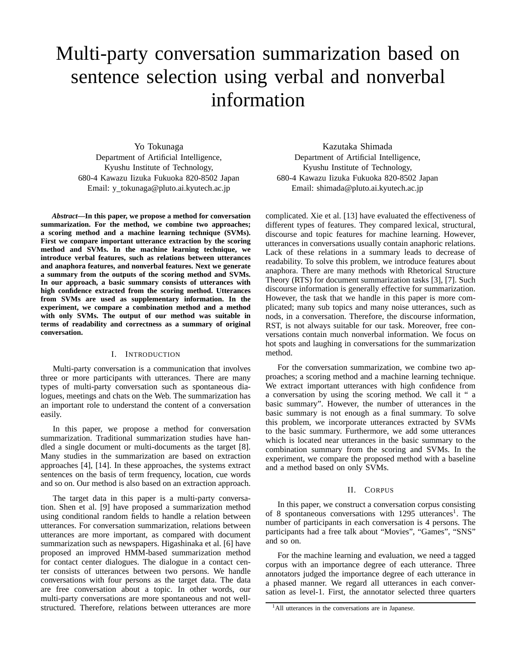# Multi-party conversation summarization based on sentence selection using verbal and nonverbal information

Yo Tokunaga Department of Artificial Intelligence, Kyushu Institute of Technology, 680-4 Kawazu Iizuka Fukuoka 820-8502 Japan Email: y tokunaga@pluto.ai.kyutech.ac.jp

*Abstract***—In this paper, we propose a method for conversation summarization. For the method, we combine two approaches; a scoring method and a machine learning technique (SVMs). First we compare important utterance extraction by the scoring method and SVMs. In the machine learning technique, we introduce verbal features, such as relations between utterances and anaphora features, and nonverbal features. Next we generate a summary from the outputs of the scoring method and SVMs. In our approach, a basic summary consists of utterances with high confidence extracted from the scoring method. Utterances from SVMs are used as supplementary information. In the experiment, we compare a combination method and a method with only SVMs. The output of our method was suitable in terms of readability and correctness as a summary of original conversation.**

# I. INTRODUCTION

Multi-party conversation is a communication that involves three or more participants with utterances. There are many types of multi-party conversation such as spontaneous dialogues, meetings and chats on the Web. The summarization has an important role to understand the content of a conversation easily.

In this paper, we propose a method for conversation summarization. Traditional summarization studies have handled a single document or multi-documents as the target [8]. Many studies in the summarization are based on extraction approaches [4], [14]. In these approaches, the systems extract sentences on the basis of term frequency, location, cue words and so on. Our method is also based on an extraction approach.

The target data in this paper is a multi-party conversation. Shen et al. [9] have proposed a summarization method using conditional random fields to handle a relation between utterances. For conversation summarization, relations between utterances are more important, as compared with document summarization such as newspapers. Higashinaka et al. [6] have proposed an improved HMM-based summarization method for contact center dialogues. The dialogue in a contact center consists of utterances between two persons. We handle conversations with four persons as the target data. The data are free conversation about a topic. In other words, our multi-party conversations are more spontaneous and not wellstructured. Therefore, relations between utterances are more

Kazutaka Shimada Department of Artificial Intelligence, Kyushu Institute of Technology, 680-4 Kawazu Iizuka Fukuoka 820-8502 Japan Email: shimada@pluto.ai.kyutech.ac.jp

complicated. Xie et al. [13] have evaluated the effectiveness of different types of features. They compared lexical, structural, discourse and topic features for machine learning. However, utterances in conversations usually contain anaphoric relations. Lack of these relations in a summary leads to decrease of readability. To solve this problem, we introduce features about anaphora. There are many methods with Rhetorical Structure Theory (RTS) for document summarization tasks [3], [7]. Such discourse information is generally effective for summarization. However, the task that we handle in this paper is more complicated; many sub topics and many noise utterances, such as nods, in a conversation. Therefore, the discourse information, RST, is not always suitable for our task. Moreover, free conversations contain much nonverbal information. We focus on hot spots and laughing in conversations for the summarization method.

For the conversation summarization, we combine two approaches; a scoring method and a machine learning technique. We extract important utterances with high confidence from a conversation by using the scoring method. We call it " a basic summary". However, the number of utterances in the basic summary is not enough as a final summary. To solve this problem, we incorporate utterances extracted by SVMs to the basic summary. Furthermore, we add some utterances which is located near utterances in the basic summary to the combination summary from the scoring and SVMs. In the experiment, we compare the proposed method with a baseline and a method based on only SVMs.

## II. CORPUS

In this paper, we construct a conversation corpus consisting of 8 spontaneous conversations with 1295 utterances<sup>1</sup>. The number of participants in each conversation is 4 persons. The participants had a free talk about "Movies", "Games", "SNS" and so on.

For the machine learning and evaluation, we need a tagged corpus with an importance degree of each utterance. Three annotators judged the importance degree of each utterance in a phased manner. We regard all utterances in each conversation as level-1. First, the annotator selected three quarters

<sup>&</sup>lt;sup>1</sup>All utterances in the conversations are in Japanese.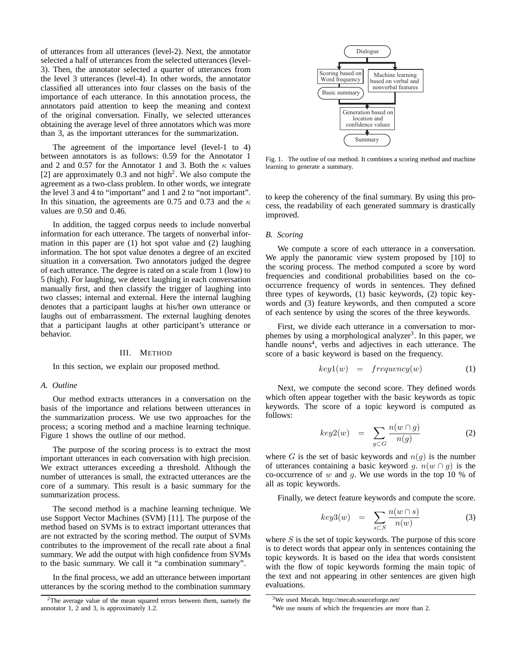of utterances from all utterances (level-2). Next, the annotator selected a half of utterances from the selected utterances (level-3). Then, the annotator selected a quarter of utterances from the level 3 utterances (level-4). In other words, the annotator classified all utterances into four classes on the basis of the importance of each utterance. In this annotation process, the annotators paid attention to keep the meaning and context of the original conversation. Finally, we selected utterances obtaining the average level of three annotators which was more than 3, as the important utterances for the summarization.

The agreement of the importance level (level-1 to 4) between annotators is as follows: 0.59 for the Annotator 1 and 2 and 0.57 for the Annotator 1 and 3. Both the *κ* values [2] are approximately  $0.3$  and not high<sup>2</sup>. We also compute the agreement as a two-class problem. In other words, we integrate the level 3 and 4 to "important" and 1 and 2 to "not important". In this situation, the agreements are 0.75 and 0.73 and the *κ* values are 0.50 and 0.46.

In addition, the tagged corpus needs to include nonverbal information for each utterance. The targets of nonverbal information in this paper are (1) hot spot value and (2) laughing information. The hot spot value denotes a degree of an excited situation in a conversation. Two annotators judged the degree of each utterance. The degree is rated on a scale from 1 (low) to 5 (high). For laughing, we detect laughing in each conversation manually first, and then classify the trigger of laughing into two classes; internal and external. Here the internal laughing denotes that a participant laughs at his/her own utterance or laughs out of embarrassment. The external laughing denotes that a participant laughs at other participant's utterance or behavior.

## III. METHOD

In this section, we explain our proposed method.

## *A. Outline*

Our method extracts utterances in a conversation on the basis of the importance and relations between utterances in the summarization process. We use two approaches for the process; a scoring method and a machine learning technique. Figure 1 shows the outline of our method.

The purpose of the scoring process is to extract the most important utterances in each conversation with high precision. We extract utterances exceeding a threshold. Although the number of utterances is small, the extracted utterances are the core of a summary. This result is a basic summary for the summarization process.

The second method is a machine learning technique. We use Support Vector Machines (SVM) [11]. The purpose of the method based on SVMs is to extract important utterances that are not extracted by the scoring method. The output of SVMs contributes to the improvement of the recall rate about a final summary. We add the output with high confidence from SVMs to the basic summary. We call it "a combination summary".

In the final process, we add an utterance between important utterances by the scoring method to the combination summary



Fig. 1. The outline of our method. It combines a scoring method and machine learning to generate a summary.

to keep the coherency of the final summary. By using this process, the readability of each generated summary is drastically improved.

#### *B. Scoring*

We compute a score of each utterance in a conversation. We apply the panoramic view system proposed by [10] to the scoring process. The method computed a score by word frequencies and conditional probabilities based on the cooccurrence frequency of words in sentences. They defined three types of keywords, (1) basic keywords, (2) topic keywords and (3) feature keywords, and then computed a score of each sentence by using the scores of the three keywords.

First, we divide each utterance in a conversation to morphemes by using a morphological analyzer<sup>3</sup>. In this paper, we handle nouns<sup>4</sup>, verbs and adjectives in each utterance. The score of a basic keyword is based on the frequency.

$$
key1(w) = frequency(w)
$$
 (1)

Next, we compute the second score. They defined words which often appear together with the basic keywords as topic keywords. The score of a topic keyword is computed as follows:

$$
key2(w) = \sum_{g \subset G} \frac{n(w \cap g)}{n(g)} \tag{2}
$$

where *G* is the set of basic keywords and  $n(q)$  is the number of utterances containing a basic keyword *g*.  $n(w \cap g)$  is the co-occurrence of *w* and *g*. We use words in the top 10 % of all as topic keywords.

Finally, we detect feature keywords and compute the score.

$$
key3(w) = \sum_{s \subset S} \frac{n(w \cap s)}{n(w)} \tag{3}
$$

where *S* is the set of topic keywords. The purpose of this score is to detect words that appear only in sentences containing the topic keywords. It is based on the idea that words consistent with the flow of topic keywords forming the main topic of the text and not appearing in other sentences are given high evaluations.

<sup>&</sup>lt;sup>2</sup>The average value of the mean squared errors between them, namely the annotator 1, 2 and 3, is approximately 1.2.

<sup>3</sup>We used Mecab. http://mecab.sourceforge.net/

<sup>&</sup>lt;sup>4</sup>We use nouns of which the frequencies are more than 2.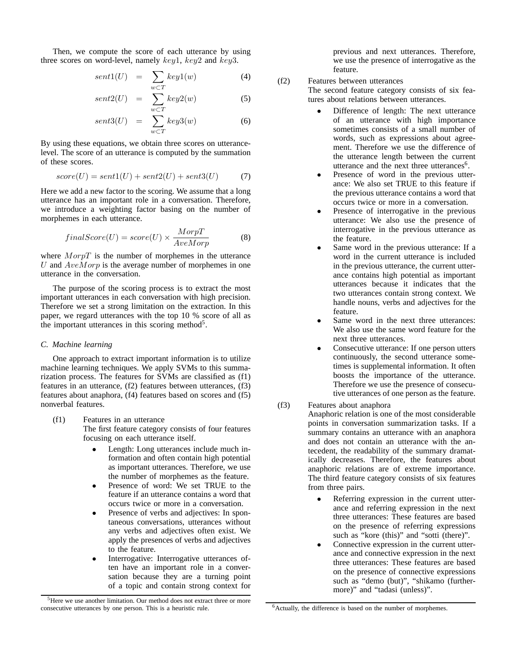Then, we compute the score of each utterance by using three scores on word-level, namely *key*1, *key*2 and *key*3.

$$
sent1(U) = \sum_{w \subset T} key1(w) \tag{4}
$$

$$
sent2(U) = \sum_{w \subset T} key2(w) \tag{5}
$$

$$
sent3(U) = \sum_{w \subset T} key3(w) \tag{6}
$$

By using these equations, we obtain three scores on utterancelevel. The score of an utterance is computed by the summation of these scores.

$$
score(U) = sent1(U) + sent2(U) + sent3(U) \tag{7}
$$

Here we add a new factor to the scoring. We assume that a long utterance has an important role in a conversation. Therefore, we introduce a weighting factor basing on the number of morphemes in each utterance.

$$
finalScore(U) = score(U) \times \frac{MorpT}{AveMorp}
$$
 (8)

where *MorpT* is the number of morphemes in the utterance *U* and *AveMorp* is the average number of morphemes in one utterance in the conversation.

The purpose of the scoring process is to extract the most important utterances in each conversation with high precision. Therefore we set a strong limitation on the extraction. In this paper, we regard utterances with the top 10 % score of all as the important utterances in this scoring method<sup>5</sup>.

## *C. Machine learning*

One approach to extract important information is to utilize machine learning techniques. We apply SVMs to this summarization process. The features for SVMs are classified as (f1) features in an utterance, (f2) features between utterances, (f3) features about anaphora, (f4) features based on scores and (f5) nonverbal features.

- (f1) Features in an utterance The first feature category consists of four features focusing on each utterance itself.
	- Length: Long utterances include much information and often contain high potential as important utterances. Therefore, we use the number of morphemes as the feature.
	- Presence of word: We set TRUE to the feature if an utterance contains a word that occurs twice or more in a conversation.
	- Presence of verbs and adjectives: In spontaneous conversations, utterances without any verbs and adjectives often exist. We apply the presences of verbs and adjectives to the feature.
	- Interrogative: Interrogative utterances often have an important role in a conversation because they are a turning point of a topic and contain strong context for

 $5$ Here we use another limitation. Our method does not extract three or more consecutive utterances by one person. This is a heuristic rule.

previous and next utterances. Therefore, we use the presence of interrogative as the feature.

# (f2) Features between utterances

The second feature category consists of six features about relations between utterances.

- Difference of length: The next utterance of an utterance with high importance sometimes consists of a small number of words, such as expressions about agreement. Therefore we use the difference of the utterance length between the current utterance and the next three utterances<sup>6</sup>.
- Presence of word in the previous utterance: We also set TRUE to this feature if the previous utterance contains a word that occurs twice or more in a conversation.
- Presence of interrogative in the previous utterance: We also use the presence of interrogative in the previous utterance as the feature.
- Same word in the previous utterance: If a word in the current utterance is included in the previous utterance, the current utterance contains high potential as important utterances because it indicates that the two utterances contain strong context. We handle nouns, verbs and adjectives for the feature.
- Same word in the next three utterances: We also use the same word feature for the next three utterances.
- Consecutive utterance: If one person utters continuously, the second utterance sometimes is supplemental information. It often boosts the importance of the utterance. Therefore we use the presence of consecutive utterances of one person as the feature.
- (f3) Features about anaphora

Anaphoric relation is one of the most considerable points in conversation summarization tasks. If a summary contains an utterance with an anaphora and does not contain an utterance with the antecedent, the readability of the summary dramatically decreases. Therefore, the features about anaphoric relations are of extreme importance. The third feature category consists of six features from three pairs.

- *•* Referring expression in the current utterance and referring expression in the next three utterances: These features are based on the presence of referring expressions such as "kore (this)" and "sotti (there)".
- Connective expression in the current utterance and connective expression in the next three utterances: These features are based on the presence of connective expressions such as "demo (but)", "shikamo (furthermore)" and "tadasi (unless)".

<sup>&</sup>lt;sup>6</sup>Actually, the difference is based on the number of morphemes.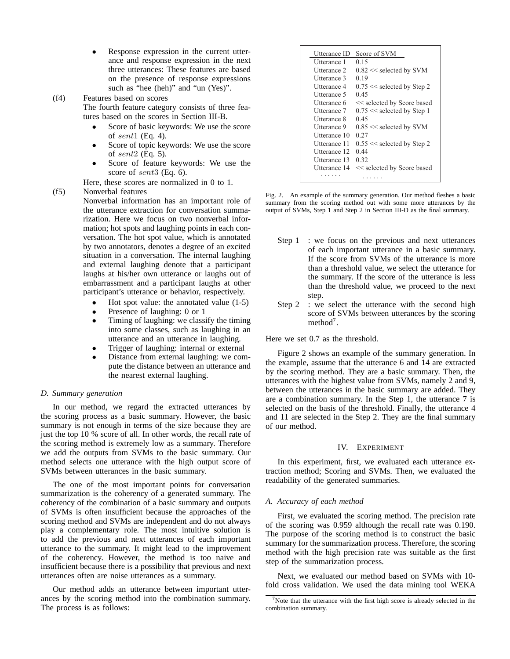- *•* Response expression in the current utterance and response expression in the next three utterances: These features are based on the presence of response expressions such as "hee (heh)" and "un (Yes)".
- (f4) Features based on scores

The fourth feature category consists of three features based on the scores in Section III-B.

- Score of basic keywords: We use the score of *sent*1 (Eq. 4).
- Score of topic keywords: We use the score of *sent*2 (Eq. 5).
- Score of feature keywords: We use the score of *sent*3 (Eq. 6).

Here, these scores are normalized in 0 to 1.

(f5) Nonverbal features

Nonverbal information has an important role of the utterance extraction for conversation summarization. Here we focus on two nonverbal information; hot spots and laughing points in each conversation. The hot spot value, which is annotated by two annotators, denotes a degree of an excited situation in a conversation. The internal laughing and external laughing denote that a participant laughs at his/her own utterance or laughs out of embarrassment and a participant laughs at other participant's utterance or behavior, respectively.

- *•* Hot spot value: the annotated value (1-5)
- Presence of laughing: 0 or 1
- *•* Timing of laughing: we classify the timing into some classes, such as laughing in an utterance and an utterance in laughing.
- *•* Trigger of laughing: internal or external
- Distance from external laughing: we compute the distance between an utterance and the nearest external laughing.

# *D. Summary generation*

In our method, we regard the extracted utterances by the scoring process as a basic summary. However, the basic summary is not enough in terms of the size because they are just the top 10 % score of all. In other words, the recall rate of the scoring method is extremely low as a summary. Therefore we add the outputs from SVMs to the basic summary. Our method selects one utterance with the high output score of SVMs between utterances in the basic summary.

The one of the most important points for conversation summarization is the coherency of a generated summary. The coherency of the combination of a basic summary and outputs of SVMs is often insufficient because the approaches of the scoring method and SVMs are independent and do not always play a complementary role. The most intuitive solution is to add the previous and next utterances of each important utterance to the summary. It might lead to the improvement of the coherency. However, the method is too naive and insufficient because there is a possibility that previous and next utterances often are noise utterances as a summary.

Our method adds an utterance between important utterances by the scoring method into the combination summary. The process is as follows:

| Utterance ID | Score of SVM                  |
|--------------|-------------------------------|
| Utterance 1  | 0.15                          |
| Utterance 2  | $0.82 \ll$ selected by SVM    |
| Utterance 3  | 0.19                          |
| Utterance 4  | $0.75 \ll$ selected by Step 2 |
| Utterance 5  | 0.45                          |
| Utterance 6  | << selected by Score based    |
| Utterance 7  | $0.75 \ll$ selected by Step 1 |
| Utterance 8  | 0.45                          |
| Utterance 9  | $0.85 \ll$ selected by SVM    |
| Utterance 10 | 0.27                          |
| Utterance 11 | $0.55 \ll$ selected by Step 2 |
| Utterance 12 | 0.44                          |
| Utterance 13 | 0.32                          |
| Utterance 14 | << selected by Score based    |
|              |                               |

Fig. 2. An example of the summary generation. Our method fleshes a basic summary from the scoring method out with some more utterances by the output of SVMs, Step 1 and Step 2 in Section III-D as the final summary.

- Step 1 : we focus on the previous and next utterances of each important utterance in a basic summary. If the score from SVMs of the utterance is more than a threshold value, we select the utterance for the summary. If the score of the utterance is less than the threshold value, we proceed to the next step.
- Step 2 : we select the utterance with the second high score of SVMs between utterances by the scoring method<sup>7</sup>.

Here we set 0.7 as the threshold.

Figure 2 shows an example of the summary generation. In the example, assume that the utterance 6 and 14 are extracted by the scoring method. They are a basic summary. Then, the utterances with the highest value from SVMs, namely 2 and 9, between the utterances in the basic summary are added. They are a combination summary. In the Step 1, the utterance 7 is selected on the basis of the threshold. Finally, the utterance 4 and 11 are selected in the Step 2. They are the final summary of our method.

# IV. EXPERIMENT

In this experiment, first, we evaluated each utterance extraction method; Scoring and SVMs. Then, we evaluated the readability of the generated summaries.

# *A. Accuracy of each method*

First, we evaluated the scoring method. The precision rate of the scoring was 0.959 although the recall rate was 0.190. The purpose of the scoring method is to construct the basic summary for the summarization process. Therefore, the scoring method with the high precision rate was suitable as the first step of the summarization process.

Next, we evaluated our method based on SVMs with 10 fold cross validation. We used the data mining tool WEKA

 $<sup>7</sup>$ Note that the utterance with the first high score is already selected in the</sup> combination summary.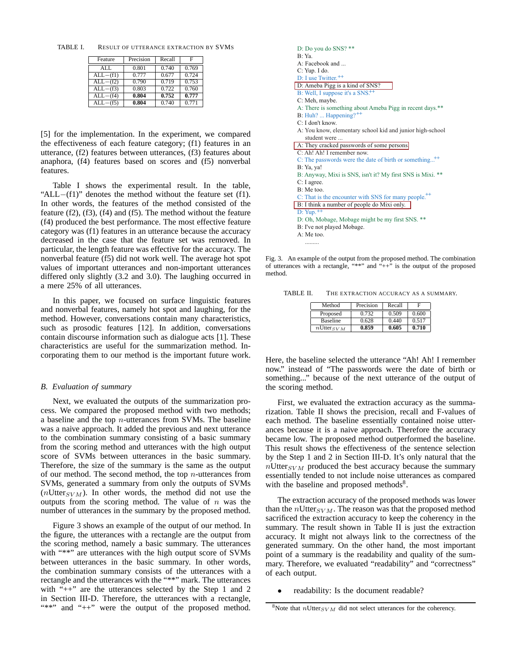TABLE I. RESULT OF UTTERANCE EXTRACTION BY SVMS

| Feature                      | Precision | Recall | F     |
|------------------------------|-----------|--------|-------|
| AI.                          | 0.801     | 0.740  | 0.769 |
| $ALL - (f1)$                 | 0.777     | 0.677  | 0.724 |
| $ALL - (f2)$                 | 0.790     | 0.719  | 0.753 |
| $\overline{\text{ALL}-(f3)}$ | 0.803     | 0.722  | 0.760 |
| $ALL - (f4)$                 | 0.804     | 0.752  | 0.777 |
| $ALL - (f5)$                 | 0.804     | 0.740  | 0.771 |

[5] for the implementation. In the experiment, we compared the effectiveness of each feature category; (f1) features in an utterance, (f2) features between utterances, (f3) features about anaphora, (f4) features based on scores and (f5) nonverbal features.

Table I shows the experimental result. In the table, "ALL*−*(f1)" denotes the method without the feature set (f1). In other words, the features of the method consisted of the feature (f2), (f3), (f4) and (f5). The method without the feature (f4) produced the best performance. The most effective feature category was (f1) features in an utterance because the accuracy decreased in the case that the feature set was removed. In particular, the length feature was effective for the accuracy. The nonverbal feature (f5) did not work well. The average hot spot values of important utterances and non-important utterances differed only slightly (3.2 and 3.0). The laughing occurred in a mere 25% of all utterances.

In this paper, we focused on surface linguistic features and nonverbal features, namely hot spot and laughing, for the method. However, conversations contain many characteristics, such as prosodic features [12]. In addition, conversations contain discourse information such as dialogue acts [1]. These characteristics are useful for the summarization method. Incorporating them to our method is the important future work.

## *B. Evaluation of summary*

Next, we evaluated the outputs of the summarization process. We compared the proposed method with two methods; a baseline and the top *n*-utterances from SVMs. The baseline was a naive approach. It added the previous and next utterance to the combination summary consisting of a basic summary from the scoring method and utterances with the high output score of SVMs between utterances in the basic summary. Therefore, the size of the summary is the same as the output of our method. The second method, the top *n*-utterances from SVMs, generated a summary from only the outputs of SVMs  $(nUtter<sub>SVM</sub>)$ . In other words, the method did not use the outputs from the scoring method. The value of *n* was the number of utterances in the summary by the proposed method.

Figure 3 shows an example of the output of our method. In the figure, the utterances with a rectangle are the output from the scoring method, namely a basic summary. The utterances with "\*\*" are utterances with the high output score of SVMs between utterances in the basic summary. In other words, the combination summary consists of the utterances with a rectangle and the utterances with the "\*\*" mark. The utterances with "++" are the utterances selected by the Step 1 and 2 in Section III-D. Therefore, the utterances with a rectangle, "\*\*" and "++" were the output of the proposed method.

```
D: Do you do SNS? **
 B: Ya.
 A: Facebook and ...
 C: Yup. I do.
 D: I use Twitter. 
++
 D: Ameba Pigg is a kind of SNS?<br>P: Well, Launnese it's a SNS<sup>++</sup>
 B: Well, I suppose it's a SNS.
 C: Meh, maybe.
 A: There is something about Ameba Pigg in recent days.**
 B: Huh? ... Happening?
++
 C: I don't know.
 A: You know, elementary school kid and junior high-school 
     student were ...
A: They cracked passwords of some persons.
 C: Ah! Ah! I remember now.
 C: The passwords were the date of birth or something...
++
 B: Ya, ya!
 B: Anyway, Mixi is SNS, isn't it? My first SNS is Mixi. **
 C: I agree.
 B: Me too.
 E: That is the encounter with SNS for many people.<sup>++</sup>
B: I think a number of people do Mixi only.
 D: Yup.
++
 D: Oh, Mobage, Mobage might be my first SNS. **
 B: I've not played Mobage.
 A: Me too.
  .........
```
Fig. 3. An example of the output from the proposed method. The combination of utterances with a rectangle, "\*\*" and  $H^* + H$ " is the output of the proposed method.

TABLE II. THE EXTRACTION ACCURACY AS A SUMMARY.

| Method          | Precision | Recall |       |
|-----------------|-----------|--------|-------|
| Proposed        | 0.732     | 0.509  | 0.600 |
| <b>Baseline</b> | 0.628     | 0.440  | 0.517 |
| $n$ Utter $SVM$ | 0.859     | 0.605  | 0.710 |

Here, the baseline selected the utterance "Ah! Ah! I remember now." instead of "The passwords were the date of birth or something..." because of the next utterance of the output of the scoring method.

First, we evaluated the extraction accuracy as the summarization. Table II shows the precision, recall and F-values of each method. The baseline essentially contained noise utterances because it is a naive approach. Therefore the accuracy became low. The proposed method outperformed the baseline. This result shows the effectiveness of the sentence selection by the Step 1 and 2 in Section III-D. It's only natural that the  $nUtter<sub>SVM</sub>$  produced the best accuracy because the summary essentially tended to not include noise utterances as compared with the baseline and proposed methods<sup>8</sup>.

The extraction accuracy of the proposed methods was lower than the *n*Utter<sub>*SVM*</sub>. The reason was that the proposed method sacrificed the extraction accuracy to keep the coherency in the summary. The result shown in Table II is just the extraction accuracy. It might not always link to the correctness of the generated summary. On the other hand, the most important point of a summary is the readability and quality of the summary. Therefore, we evaluated "readability" and "correctness" of each output.

*•* readability: Is the document readable?

<sup>&</sup>lt;sup>8</sup>Note that  $nUt$ ter $_{SVM}$  did not select utterances for the coherency.